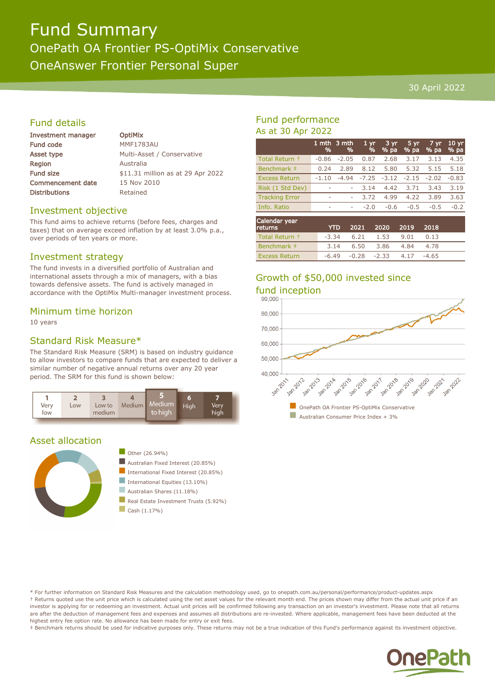# Fund Summary OnePath OA Frontier PS-OptiMix Conservative OneAnswer Frontier Personal Super

#### 30 April 2022

# Fund details

| <b>Investment manager</b> | <b>OptiMix</b>                    |  |  |  |  |
|---------------------------|-----------------------------------|--|--|--|--|
| <b>Fund code</b>          | <b>MMF1783AU</b>                  |  |  |  |  |
| Asset type                | Multi-Asset / Conservative        |  |  |  |  |
| <b>Region</b>             | Australia                         |  |  |  |  |
| <b>Fund size</b>          | \$11.31 million as at 29 Apr 2022 |  |  |  |  |
| <b>Commencement date</b>  | 15 Nov 2010                       |  |  |  |  |
| <b>Distributions</b>      | Retained                          |  |  |  |  |
|                           |                                   |  |  |  |  |

## Investment objective

This fund aims to achieve returns (before fees, charges and taxes) that on average exceed inflation by at least 3.0% p.a., over periods of ten years or more.

## Investment strategy

The fund invests in a diversified portfolio of Australian and international assets through a mix of managers, with a bias towards defensive assets. The fund is actively managed in accordance with the OptiMix Multi-manager investment process.

## Minimum time horizon

10 years

# Standard Risk Measure\*

The Standard Risk Measure (SRM) is based on industry guidance to allow investors to compare funds that are expected to deliver a similar number of negative annual returns over any 20 year period. The SRM for this fund is shown below:



# Asset allocation



#### $\Box$  Other (26.94%)

- $\blacksquare$  Australian Fixed Interest (20.85%)
- International Fixed Interest (20.85%)
- International Equities  $(13.10\%)$
- Australian Shares (11.18%)
- Real Estate Investment Trusts (5.92%)
- $\Box$  Cash (1.17%)

# Fund performance As at 30 Apr 2022

|                            | %       | 1 mth 3 mth<br>% | 1 <sub>yr</sub><br>% | $3 \,\mathrm{yr}$<br>% pa | 5 yr<br>% pa | 7 yr.<br>% pa | 10 <sub>yr</sub><br>% pa |
|----------------------------|---------|------------------|----------------------|---------------------------|--------------|---------------|--------------------------|
| Total Return +             | $-0.86$ | $-2.05$          | 0.87                 | 2.68                      | 3.17         | 3.13          | 4.35                     |
| Benchmark ‡                | 0.24    | 2.89             | 8.12                 | 5.80                      | 5.32         | 5.15          | 5.18                     |
| <b>Excess Return</b>       | $-1.10$ | $-4.94$          | $-7.25$              | $-3.12$                   | $-2.15$      | $-2.02$       | $-0.83$                  |
| Risk (1 Std Dev)           | ۰       | ٠                | 3.14                 | 4.42                      | 3.71         | 3.43          | 3.19                     |
| <b>Tracking Error</b>      | ٠       | ٠                | 3.72                 | 4.99                      | 4.22         | 3.89          | 3.63                     |
| Info. Ratio                | ۰       | ۰                | $-2.0$               | $-0.6$                    | $-0.5$       | $-0.5$        | $-0.2$                   |
|                            |         |                  |                      |                           |              |               |                          |
| What has a share a company |         |                  |                      |                           |              |               |                          |

| Calendar year<br><b>returns</b> | <b>YTD</b> |              | 2021 2020 2019 |           | 2018    |  |
|---------------------------------|------------|--------------|----------------|-----------|---------|--|
| Total Return +                  |            | $-3.34$ 6.21 |                | 1.53 9.01 | 0.13    |  |
| Benchmark #                     | 3.14       | 6.50         | 3.86           | 4.84      | 4.78    |  |
| <b>Excess Return</b>            | $-6.49$    |              | $-0.28 - 2.33$ | 4.17      | $-4.65$ |  |

# Growth of \$50,000 invested since fund inception



\* For further information on Standard Risk Measures and the calculation methodology used, go to onepath.com.au/personal/performance/product-updates.aspx † Returns quoted use the unit price which is calculated using the net asset values for the relevant month end. The prices shown may differ from the actual unit price if an investor is applying for or redeeming an investment. Actual unit prices will be confirmed following any transaction on an investor's investment. Please note that all returns are after the deduction of management fees and expenses and assumes all distributions are re-invested. Where applicable, management fees have been deducted at the highest entry fee option rate. No allowance has been made for entry or exit fees.

‡ Benchmark returns should be used for indicative purposes only. These returns may not be a true indication of this Fund's performance against its investment objective.